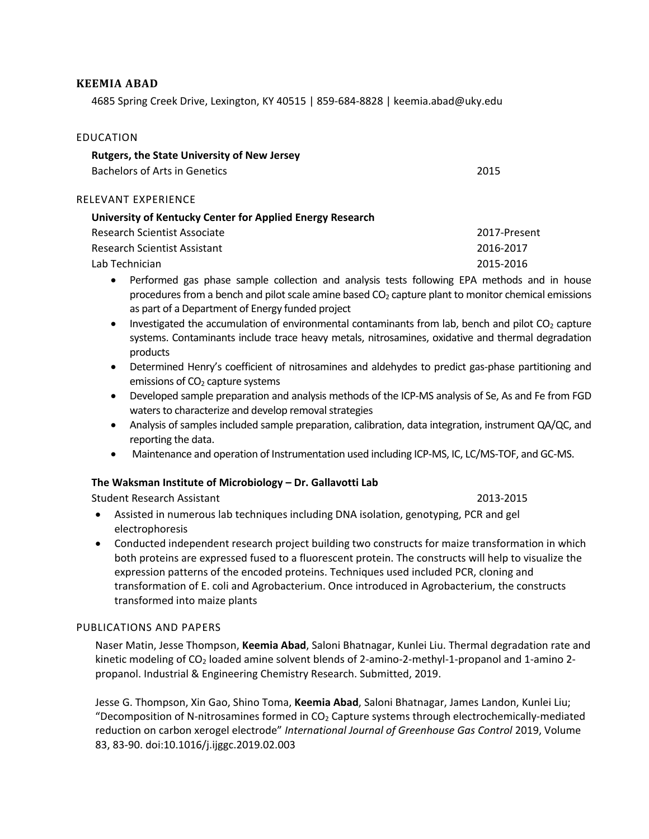## **KEEMIA ABAD**

4685 Spring Creek Drive, Lexington, KY 40515 | 859-684-8828 | keemia.abad@uky.edu

| EDUCATION                                                                           |      |
|-------------------------------------------------------------------------------------|------|
| <b>Rutgers, the State University of New Jersey</b><br>Bachelors of Arts in Genetics | 2015 |
| RELEVANT EXPERIENCE                                                                 |      |
| University of Kentucky Center for Applied Energy Research                           |      |

| Research Scientist Associate | 2017-Present |
|------------------------------|--------------|
| Research Scientist Assistant | 2016-2017    |
| Lab Technician               | 2015-2016    |

- Performed gas phase sample collection and analysis tests following EPA methods and in house procedures from a bench and pilot scale amine based  $CO<sub>2</sub>$  capture plant to monitor chemical emissions as part of a Department of Energy funded project
- Investigated the accumulation of environmental contaminants from lab, bench and pilot  $CO<sub>2</sub>$  capture systems. Contaminants include trace heavy metals, nitrosamines, oxidative and thermal degradation products
- Determined Henry's coefficient of nitrosamines and aldehydes to predict gas-phase partitioning and emissions of  $CO<sub>2</sub>$  capture systems
- Developed sample preparation and analysis methods of the ICP-MS analysis of Se, As and Fe from FGD waters to characterize and develop removal strategies
- Analysis of samples included sample preparation, calibration, data integration, instrument QA/QC, and reporting the data.
- Maintenance and operation of Instrumentation used including ICP-MS, IC, LC/MS-TOF, and GC-MS.

# **The Waksman Institute of Microbiology – Dr. Gallavotti Lab**

Student Research Assistant 2013-2015

- Assisted in numerous lab techniques including DNA isolation, genotyping, PCR and gel electrophoresis
- Conducted independent research project building two constructs for maize transformation in which both proteins are expressed fused to a fluorescent protein. The constructs will help to visualize the expression patterns of the encoded proteins. Techniques used included PCR, cloning and transformation of E. coli and Agrobacterium. Once introduced in Agrobacterium, the constructs transformed into maize plants

# PUBLICATIONS AND PAPERS

Naser Matin, Jesse Thompson, **Keemia Abad**, Saloni Bhatnagar, Kunlei Liu. Thermal degradation rate and kinetic modeling of CO<sup>2</sup> loaded amine solvent blends of 2-amino-2-methyl-1-propanol and 1-amino 2 propanol. Industrial & Engineering Chemistry Research. Submitted, 2019.

Jesse G. Thompson, Xin Gao, Shino Toma, **Keemia Abad**, Saloni Bhatnagar, James Landon, Kunlei Liu; "Decomposition of N-nitrosamines formed in  $CO<sub>2</sub>$  Capture systems through electrochemically-mediated reduction on carbon xerogel electrode" *International Journal of Greenhouse Gas Control* 2019, Volume 83, 83-90. doi:10.1016/j.ijggc.2019.02.003